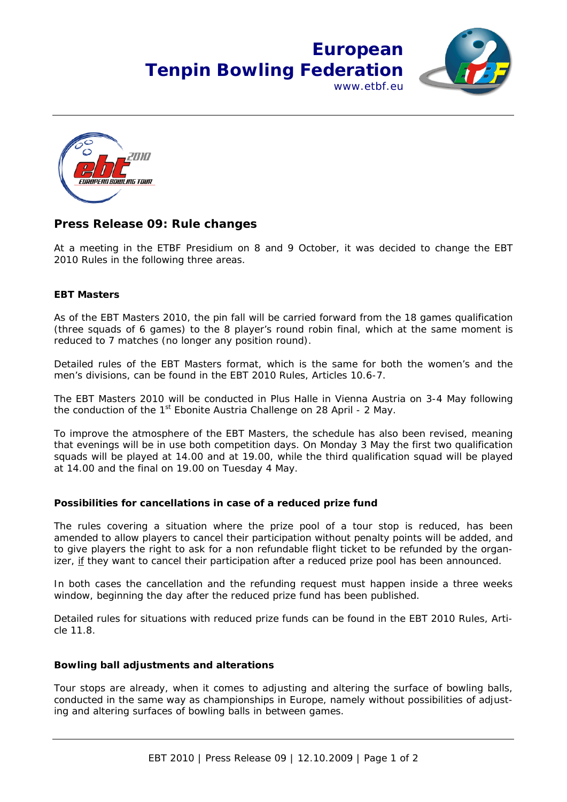# **European Tenpin Bowling Federation** www.ethf.eu



### **Press Release 09: Rule changes**

At a meeting in the ETBF Presidium on 8 and 9 October, it was decided to change the EBT 2010 Rules in the following three areas.

### **EBT Masters**

As of the EBT Masters 2010, the pin fall will be carried forward from the 18 games qualification (three squads of 6 games) to the 8 player's round robin final, which at the same moment is reduced to 7 matches (no longer any position round).

Detailed rules of the EBT Masters format, which is the same for both the women's and the men's divisions, can be found in the EBT 2010 Rules, Articles 10.6-7.

The EBT Masters 2010 will be conducted in Plus Halle in Vienna Austria on 3-4 May following the conduction of the 1<sup>st</sup> Ebonite Austria Challenge on 28 April - 2 May.

To improve the atmosphere of the EBT Masters, the schedule has also been revised, meaning that evenings will be in use both competition days. On Monday 3 May the first two qualification squads will be played at 14.00 and at 19.00, while the third qualification squad will be played at 14.00 and the final on 19.00 on Tuesday 4 May.

#### **Possibilities for cancellations in case of a reduced prize fund**

The rules covering a situation where the prize pool of a tour stop is reduced, has been amended to allow players to cancel their participation without penalty points will be added, and to give players the right to ask for a non refundable flight ticket to be refunded by the organizer, if they want to cancel their participation after a reduced prize pool has been announced.

In both cases the cancellation and the refunding request must happen inside a three weeks window, beginning the day after the reduced prize fund has been published.

Detailed rules for situations with reduced prize funds can be found in the EBT 2010 Rules, Article 11.8.

#### **Bowling ball adjustments and alterations**

Tour stops are already, when it comes to adjusting and altering the surface of bowling balls, conducted in the same way as championships in Europe, namely without possibilities of adjusting and altering surfaces of bowling balls in between games.